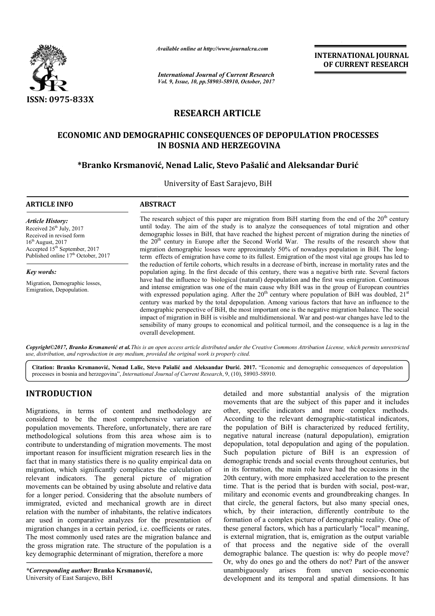

*Available online at http://www.journal http://www.journalcra.com*

*International Journal of Current Research Vol. 9, Issue, 10, pp.58903-58910, October, 2017*

**INTERNATIONAL JOURNAL OF CURRENT RESEARCH** 

# **RESEARCH ARTICLE**

## **ECONOMIC AND DEMOGRAPHIC CONSEQUENCES OF DEPOPULATION PROCESSES OF DEPOPULATION IN BOSNIA AND HERZEGOVINA**

## **\*Branko Krsmanović, Nenad Lalic, Stevo Pašalić Branko and Aleksandar Đurić**

University of East Sarajevo, BiH

| <b>ARTICLE INFO</b>                                                                                                                                                                                                | <b>ABSTRACT</b>                                                                                                                                                                                                                                                                                                                                                                                                                                                                                                                                                                                                                                 |
|--------------------------------------------------------------------------------------------------------------------------------------------------------------------------------------------------------------------|-------------------------------------------------------------------------------------------------------------------------------------------------------------------------------------------------------------------------------------------------------------------------------------------------------------------------------------------------------------------------------------------------------------------------------------------------------------------------------------------------------------------------------------------------------------------------------------------------------------------------------------------------|
| <b>Article History:</b><br>Received 26 <sup>th</sup> July, 2017<br>Received in revised form<br>$16th$ August, 2017<br>Accepted 15 <sup>th</sup> September, 2017<br>Published online 17 <sup>th</sup> October, 2017 | The research subject of this paper are migration from BiH starting from the end of the $20th$ century<br>until today. The aim of the study is to analyze the consequences of total migration and other<br>demographic losses in BiH, that have reached the highest percent of migration during the nineties of<br>the 20 <sup>th</sup> century in Europe after the Second World War. The results of the research show that<br>migration demographic losses were approximately 50% of nowadays population in BiH. The long-<br>term effects of emigration have come to its fullest. Emigration of the most vital age groups has led to           |
| Key words:                                                                                                                                                                                                         | the reduction of fertile cohorts, which results in a decrease of birth, increase in mortality rates and the<br>population aging. In the first decade of this century, there was a negative birth rate. Several factors                                                                                                                                                                                                                                                                                                                                                                                                                          |
| Migration, Demographic losses,<br>Emigration, Depopulation.                                                                                                                                                        | have had the influence to biological (natural) depopulation and the first was emigration. Continuous<br>and intense emigration was one of the main cause why BiH was in the group of European countries<br>with expressed population aging. After the 20 <sup>th</sup> century where population of BiH was doubled, $21st$<br>century was marked by the total depopulation. Among various factors that have an influence to the<br>demographic perspective of BiH, the most important one is the negative migration balance. The social<br>impact of migration in BiH is visible and multidimensional. War and post-war changes have led to the |
|                                                                                                                                                                                                                    | sensibility of many groups to economical and political turmoil, and the consequence is a lag in the<br>overall development.                                                                                                                                                                                                                                                                                                                                                                                                                                                                                                                     |

*Copyright©2017, Branko Krsmanović et al.This is an open access article distributed under the Creative Commons Att Attribution License, which ribution which permits unrestricted use, distribution, and reproduction in any medium, provided the original work is properly cited.*

Citation: Branko Krsmanović, Nenad Lalic, Stevo Pašalić and Aleksandar Đurić. 2017. "Economic and demographic consequences of depopulation processes in bosnia and herzegovina", *International Journal of Current Research* , 9, (10), 58903-58910.

## **INTRODUCTION**

Migrations, in terms of content and methodology are considered to be the most comprehensive variation of population movements. Therefore, unfortunately, there are rare methodological solutions from this area whose aim is to contribute to understanding of migration movements. The most important reason for insufficient migration research lies in the fact that in many statistics there is no quality empirical data on migration, which significantly complicates the calculation of relevant indicators. The general picture of migration movements can be obtained by using absolute and relative data for a longer period. Considering that the absolute numbers of immigrated, evicted and mechanical growth are in direct relation with the number of inhabitants, the relative indicators are used in comparative analyzes for the presentation of migration changes in a certain period, i.e. coefficients or rates. The most commonly used rates are the migration balance and the gross migration rate. The structure of the population is a key demographic determinant of migration, therefore a more

*\*Corresponding author:* **Branko Krsmanović,** University of East Sarajevo, BiH

detailed and more substantial analysis of the migration movements that are the subject of this paper and it includes other, specific indicators and more complex methods. According to the relevant demographic-statistical indicators, the population of BiH is characterized by reduced fertility, negative natural increase (natural depopulation), emigration depopulation, total depopulation and aging of the population. Such population picture of BiH is an expression of demographic trends and social events throughout centuries, but in its formation, the main role have had the occasions in the 20th century, with more emphasized acceleration to the present time. That is the period that is burden with social, post-war, military and economic events and groundbreaking changes. In that circle, the general factors, but also many special ones, which, by their interaction, differently contribute to the formation of a complex picture of demographic reality. One of these general factors, which has a particularly "local" meaning, is external migration, that is, emigration as the output variable of that process and the negative side of the overall demographic balance. The question is: why do people move? Or, why do ones go and the others do not? Part of the answer unambiguously arises from uneven socio-economic unambiguously development and its temporal and spatial dimensions. It has movements that are the subject of this paper and it includes other, specific indicators and more complex methods.<br>According to the relevant demographic-statistical indicators, negative natural increase (natural depopulation), emigration depopulation, total depopulation and aging of the population.<br>Such population picture of BiH is an expression of demographic trends and social events throughout formation, the main role have had the occasions in the century, with more emphasized acceleration to the present That is the period that is burden with social, post-war, that circle, the general factors, but also many special ones, which, by their interaction, differently contribute to the formation of a complex picture of demographic reality. One of these general factors, which has a part **INTERNATIONAL JOURNAL OF CURRENT RESEARCH CONDINAL OF CURRENT RESEARCH OF CURRENT RESEARCH (INTERNATION PROCESSES)**<br>
BiH starting from the end of the 20<sup>th</sup> century consequences of total migration and induction and other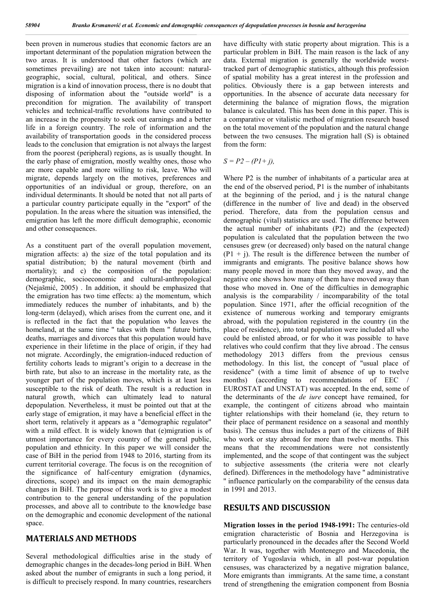been proven in numerous studies that economic factors are an important determinant of the population migration between the two areas. It is understood that other factors (which are sometimes prevailing) are not taken into account: naturalgeographic, social, cultural, political, and others. Since migration is a kind of innovation process, there is no doubt that disposing of information about the "outside world" is a precondition for migration. The availability of transport vehicles and technical-traffic revolutions have contributed to an increase in the propensity to seek out earnings and a better life in a foreign country. The role of information and the availability of transportation goods in the considered process leads to the conclusion that emigration is not always the largest from the poorest (peripheral) regions, as is usually thought. In the early phase of emigration, mostly wealthy ones, those who are more capable and more willing to risk, leave. Who will migrate, depends largely on the motives, preferences and opportunities of an individual or group, therefore, on an individual determinants. It should be noted that not all parts of a particular country participate equally in the "export" of the population. In the areas where the situation was intensified, the emigration has left the more difficult demographic, economic and other consequences.

As a constituent part of the overall population movement, migration affects: a) the size of the total population and its spatial distribution; b) the natural movement (birth and mortality); and c) the composition of the population: demographic, socioeconomic and cultural-anthropological (Nejašmić, 2005) . In addition, it should be emphasized that the emigration has two time effects: a) the momentum, which immediately reduces the number of inhabitants, and b) the long-term (delayed), which arises from the current one, and it is reflected in the fact that the population who leaves the homeland, at the same time " takes with them " future births, deaths, marriages and divorces that this population would have experience in their lifetime in the place of origin, if they had not migrate. Accordingly, the emigration-induced reduction of fertility cohorts leads to migrant's origin to a decrease in the birth rate, but also to an increase in the mortality rate, as the younger part of the population moves, which is at least less susceptible to the risk of death. The result is a reduction in natural growth, which can ultimately lead to natural depopulation. Nevertheless, it must be pointed out that at the early stage of emigration, it may have a beneficial effect in the short term, relatively it appears as a "demographic regulator" with a mild effect. It is widely known that (e)migration is of utmost importance for every country of the general public, population and ethnicity. In this paper we will consider the case of BiH in the period from 1948 to 2016, starting from its current territorial coverage. The focus is on the recognition of the significance of half-century emigration (dynamics, directions, scope) and its impact on the main demographic changes in BiH. The purpose of this work is to give a modest contribution to the general understanding of the population processes, and above all to contribute to the knowledge base on the demographic and economic development of the national space.

### **MATERIALS AND METHODS**

Several methodological difficulties arise in the study of demographic changes in the decades-long period in BiH. When asked about the number of emigrants in such a long period, it is difficult to precisely respond. In many countries, researchers

have difficulty with static property about migration. This is a particular problem in BiH. The main reason is the lack of any data. External migration is generally the worldwide worsttracked part of demographic statistics, although this profession of spatial mobility has a great interest in the profession and politics. Obviously there is a gap between interests and opportunities. In the absence of accurate data necessary for determining the balance of migration flows, the migration balance is calculated. This has been done in this paper. This is a comparative or vitalistic method of migration research based on the total movement of the population and the natural change between the two censuses. The migration hall (S) is obtained from the form:

 $S = P2 - (PI + i)$ ,

Where P2 is the number of inhabitants of a particular area at the end of the observed period, P1 is the number of inhabitants at the beginning of the period, and j is the natural change (difference in the number of live and dead) in the observed period. Therefore, data from the population census and demographic (vital) statistics are used. The difference between the actual number of inhabitants (P2) and the (expected) population is calculated that the population between the two censuses grew (or decreased) only based on the natural change  $(P1 + i)$ . The result is the difference between the number of immigrants and emigrants. The positive balance shows how many people moved in more than they moved away, and the negative one shows how many of them have moved away than those who moved in. One of the difficulties in demographic analysis is the comparability / incomparability of the total population. Since 1971, after the official recognition of the existence of numerous working and temporary emigrants abroad, with the population registered in the country (in the place of residence), into total population were included all who could be enlisted abroad, or for who it was possible to have relatives who could confirm that they live abroad . The census methodology 2013 differs from the previous census methodology. In this list, the concept of "usual place of residence" (with a time limit of absence of up to twelve months) (according to recommendations of EEC / EUROSTAT and UNSTAT) was accepted. In the end, some of the determinants of the *de iure* concept have remained, for example, the contingent of citizens abroad who maintain tighter relationships with their homeland (ie, they return to their place of permanent residence on a seasonal and monthly basis). The census thus includes a part of the citizens of BiH who work or stay abroad for more than twelve months. This means that the recommendations were not consistently implemented, and the scope of that contingent was the subject to subjective assessments (the criteria were not clearly defined). Differences in the methodology have '' administrative '' influence particularly on the comparability of the census data in 1991 and 2013.

### **RESULTS AND DISCUSSION**

**Migration losses in the period 1948-1991:** The centuries-old emigration characteristic of Bosnia and Herzegovina is particularly pronounced in the decades after the Second World War. It was, together with Montenegro and Macedonia, the territory of Yugoslavia which, in all post-war population censuses, was characterized by a negative migration balance, More emigrants than immigrants. At the same time, a constant trend of strengthening the emigration component from Bosnia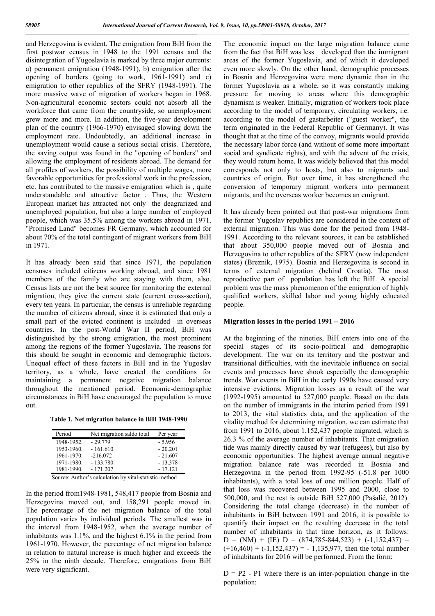and Herzegovina is evident. The emigration from BiH from the first postwar census in 1948 to the 1991 census and the disintegration of Yugoslavia is marked by three major currents: a) permanent emigration (1948-1991), b) emigration after the opening of borders (going to work, 1961-1991) and c) emigration to other republics of the SFRY (1948-1991). The more massive wave of migration of workers began in 1968. Non-agricultural economic sectors could not absorb all the workforce that came from the countryside, so unemployment grew more and more. In addition, the five-year development plan of the country (1966-1970) envisaged slowing down the employment rate. Undoubtedly, an additional increase in unemployment would cause a serious social crisis. Therefore, the saving output was found in the "opening of borders" and allowing the employment of residents abroad. The demand for all profiles of workers, the possibility of multiple wages, more favorable opportunities for professional work in the profession, etc. has contributed to the massive emigration which is , quite understandable and attractive factor . Thus, the Western European market has attracted not only the deagrarized and unemployed population, but also a large number of employed people, which was 35.5% among the workers abroad in 1971. "Promised Land" becomes FR Germany, which accounted for about 70% of the total contingent of migrant workers from BiH in 1971.

It has already been said that since 1971, the population censuses included citizens working abroad, and since 1981 members of the family who are staying with them, also. Census lists are not the best source for monitoring the external migration, they give the current state (current cross-section), every ten years. In particular, the census is unreliable regarding the number of citizens abroad, since it is estimated that only a small part of the evicted continent is included in overseas countries. In the post-World War II period, BiH was distinguished by the strong emigration, the most prominent among the regions of the former Yugoslavia. The reasons for this should be sought in economic and demographic factors. Unequal effect of these factors in BiH and in the Yugoslav territory, as a whole, have created the conditions for maintaining a permanent negative migration balance throughout the mentioned period. Economic-demographic circumstances in BiH have encouraged the population to move out.

**Table 1. Net migration balance in BiH 1948-1990**

| Period      | Net migration saldo total | Per year                                                                                                                                                                                                                       |
|-------------|---------------------------|--------------------------------------------------------------------------------------------------------------------------------------------------------------------------------------------------------------------------------|
| 1948-1952.  | $-29.779$                 | $-5.956$                                                                                                                                                                                                                       |
| 1953-1960.  | $-161.610$                | $-20.201$                                                                                                                                                                                                                      |
| 1961-1970.  | $-216.072$                | $-21.607$                                                                                                                                                                                                                      |
| 1971-1980.  | $-133.780$                | $-13.378$                                                                                                                                                                                                                      |
| 1981-1990.  | $-171.207$                | $-17.121$                                                                                                                                                                                                                      |
| $\sim$<br>. | .                         | the first control of the first state of the first state of the first state of the state of the state of the state of the state of the state of the state of the state of the state of the state of the state of the state of t |

Source: Author's calculation by vital-statistic method

In the period from1948-1981, 548,417 people from Bosnia and Herzegovina moved out, and 158,291 people moved in. The percentage of the net migration balance of the total population varies by individual periods. The smallest was in the interval from 1948-1952, when the average number of inhabitants was 1.1%, and the highest 6.1% in the period from 1961-1970. However, the percentage of net migration balance in relation to natural increase is much higher and exceeds the 25% in the ninth decade. Therefore, emigrations from BiH were very significant.

The economic impact on the large migration balance came from the fact that BiH was less developed than the immigrant areas of the former Yugoslavia, and of which it developed even more slowly. On the other hand, demographic processes in Bosnia and Herzegovina were more dynamic than in the former Yugoslavia as a whole, so it was constantly making pressure for moving to areas where this demographic dynamism is weaker. Initially, migration of workers took place according to the model of temporary, circulating workers, i.e. according to the model of gastarbeiter ("guest worker", the term originated in the Federal Republic of Germany). It was thought that at the time of the convoy, migrants would provide the necessary labor force (and without of some more important social and syndicate rights), and with the advent of the crisis, they would return home. It was widely believed that this model corresponds not only to hosts, but also to migrants and countries of origin. But over time, it has strengthened the conversion of temporary migrant workers into permanent migrants, and the overseas worker becomes an emigrant.

It has already been pointed out that post-war migrations from the former Yugoslav republics are considered in the context of external migration. This was done for the period from 1948- 1991. According to the relevant sources, it can be established that about 350,000 people moved out of Bosnia and Herzegovina to other republics of the SFRY (now independent states) (Breznik, 1975). Bosnia and Herzegovina is second in terms of external migration (behind Croatia). The most reproductive part of population has left the BiH. A special problem was the mass phenomenon of the emigration of highly qualified workers, skilled labor and young highly educated people.

#### **Migration losses in the period 1991 – 2016**

At the beginning of the nineties, BiH enters into one of the special stages of its socio-political and demographic development. The war on its territory and the postwar and transitional difficulties, with the inevitable influence on social events and processes have shook especially the demographic trends. War events in BiH in the early 1990s have caused very intensive evictions. Migration losses as a result of the war (1992-1995) amounted to 527,000 people. Based on the data on the number of immigrants in the interim period from 1991 to 2013, the vital statistics data, and the application of the vitality method for determining migration, we can estimate that from 1991 to 2016, about 1,152,437 people migrated, which is 26.3 % of the average number of inhabitants. That emigration tide was mainly directly caused by war (refugees), but also by economic opportunities. The highest average annual negative migration balance rate was recorded in Bosnia and Herzegovina in the period from 1992-95 (-51.8 per 1000 inhabitants), with a total loss of one million people. Half of that loss was recovered between 1995 and 2000, close to 500,000, and the rest is outside BiH 527,000 (Pašalić, 2012). Considering the total change (decrease) in the number of inhabitants in BiH between 1991 and 2016, it is possible to quantify their impact on the resulting decrease in the total number of inhabitants in that time horizon, as it follows:  $D = (NM) + (IE) D = (874,785-844,523) + (-1,152,437) =$  $(+16,460) + (-1,152,437) = -1,135,977$ , then the total number of inhabitants for 2016 will be performed. From the form:

 $D = P2 - P1$  where there is an inter-population change in the population: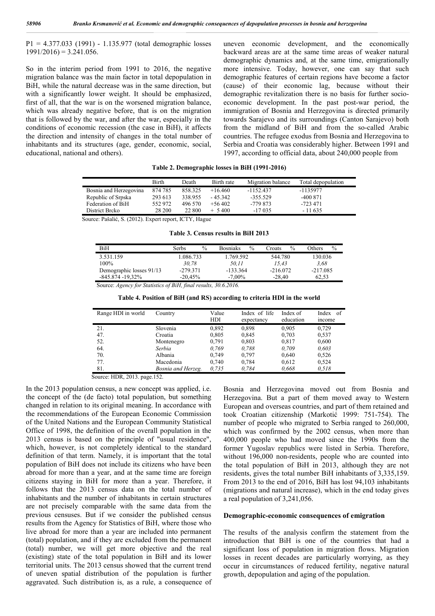P1 = 4.377.033 (1991) - 1.135.977 (total demographic losses  $1991/2016$ ) = 3.241.056.

So in the interim period from 1991 to 2016, the negative migration balance was the main factor in total depopulation in BiH, while the natural decrease was in the same direction, but with a significantly lower weight. It should be emphasized, first of all, that the war is on the worsened migration balance, which was already negative before, that is on the migration that is followed by the war, and after the war, especially in the conditions of economic recession (the case in BiH), it affects the direction and intensity of changes in the total number of inhabitants and its structures (age, gender, economic, social, educational, national and others).

uneven economic development, and the economically backward areas are at the same time areas of weaker natural demographic dynamics and, at the same time, emigrationally more intensive. Today, however, one can say that such demographic features of certain regions have become a factor (cause) of their economic lag, because without their demographic revitalization there is no basis for further socioeconomic development. In the past post-war period, the immigration of Bosnia and Herzegovina is directed primarily towards Sarajevo and its surroundings (Canton Sarajevo) both from the midland of BiH and from the so-called Arabic countries. The refugee exodus from Bosnia and Herzegovina to Serbia and Croatia was considerably higher. Between 1991 and 1997, according to official data, about 240,000 people from

**Table 2. Demographic losses in BiH (1991-2016)**

|                        | <b>Birth</b> | Death      | Birth rate | Migration balance | Total depopulation |
|------------------------|--------------|------------|------------|-------------------|--------------------|
| Bosnia and Herzegovina | 874 785      | 858.325    | $+16.460$  | $-1152.437$       | -1135977           |
| Republic of Srpska     | 293 613      | 338.955    | $-45.342$  | $-355.529$        | $-400871$          |
| Federation of BiH      | 552972       | 496 570    | $+56402$   | -779 873          | $-723471$          |
| District Breko         | 28 200       | 22 800     | $+ 5400$   | $-17035$          | $-11635$           |
| $-$<br>_ _ _ _ _ _     |              | _ ____ _ _ |            |                   |                    |

Source: Pašalić, S. (2012). Expert report, ICTY, Hague

**Table 3. Census results in BiH 2013**

| <b>BiH</b>               | Serbs      | $\%$ | <b>Bosniaks</b> | $\%$ | Proats     | $\%$ | Others     | $\%$ |
|--------------------------|------------|------|-----------------|------|------------|------|------------|------|
| 3.531.159                | 1.086.733  |      | 1.769.592       |      | 544.780    |      | 130.036    |      |
| $100\%$                  | 30.78      |      | 50.11           |      | 15.43      |      | 3.68       |      |
| Demographic losses 91/13 | $-279.371$ |      | -133.364        |      | $-216.072$ |      | $-217.085$ |      |
| $-845.874 - 19.32\%$     | $-20.45%$  |      | $-7.00\%$       |      | $-28.40$   |      | 62.53      |      |

Source: *Agency for Statistics of BiH, final results, 30.6.2016.*

| Range HDI in world | Country            | Value<br>HDI | Index of life<br>expectancy | Index of<br>education | Index of<br>income |
|--------------------|--------------------|--------------|-----------------------------|-----------------------|--------------------|
| 21.                | Slovenia           | 0,892        | 0,898                       | 0,905                 | 0,729              |
| 47.                | Croatia            | 0,805        | 0,845                       | 0,703                 | 0,537              |
| 52.                | Montenegro         | 0,791        | 0,803                       | 0,817                 | 0,600              |
| 64.                | Serbia             | 0.769        | 0.788                       | 0.709                 | 0.603              |
| 70.                | Albania            | 0,749        | 0,797                       | 0,640                 | 0,526              |
| 77.                | Macedonia          | 0,740        | 0,784                       | 0,612                 | 0,524              |
| 81.                | Bosnia and Herzeg. | 0.735        | 0.784                       | 0.668                 | 0.518              |

Source: HDR, 2013. page.152.

In the 2013 population census, a new concept was applied, i.e. the concept of the (de facto) total population, but something changed in relation to its original meaning. In accordance with the recommendations of the European Economic Commission of the United Nations and the European Community Statistical Office of 1998, the definition of the overall population in the 2013 census is based on the principle of "usual residence", which, however, is not completely identical to the standard definition of that term. Namely, it is important that the total population of BiH does not include its citizens who have been abroad for more than a year, and at the same time are foreign citizens staying in BiH for more than a year. Therefore, it follows that the 2013 census data on the total number of inhabitants and the number of inhabitants in certain structures are not precisely comparable with the same data from the previous censuses. But if we consider the published census results from the Agency for Statistics of BiH, where those who live abroad for more than a year are included into permanent (total) population, and if they are excluded from the permanent (total) number, we will get more objective and the real (existing) state of the total population in BiH and its lower territorial units. The 2013 census showed that the current trend of uneven spatial distribution of the population is further aggravated. Such distribution is, as a rule, a consequence of Bosnia and Herzegovina moved out from Bosnia and Herzegovina. But a part of them moved away to Western European and overseas countries, and part of them retained and took Croatian citizenship (Markotić 1999: 751-754). The number of people who migrated to Serbia ranged to 260,000, which was confirmed by the 2002 census, when more than 400,000 people who had moved since the 1990s from the former Yugoslav republics were listed in Serbia. Therefore, without 196,000 non-residents, people who are counted into the total population of BiH in 2013, although they are not residents, gives the total number BiH inhabitants of 3,335,159. From 2013 to the end of 2016, BiH has lost 94,103 inhabitants (migrations and natural increase), which in the end today gives a real population of 3,241,056.

#### **Demographic-economic consequences of emigration**

The results of the analysis confirm the statement from the introduction that BiH is one of the countries that had a significant loss of population in migration flows. Migration losses in recent decades are particularly worrying, as they occur in circumstances of reduced fertility, negative natural growth, depopulation and aging of the population.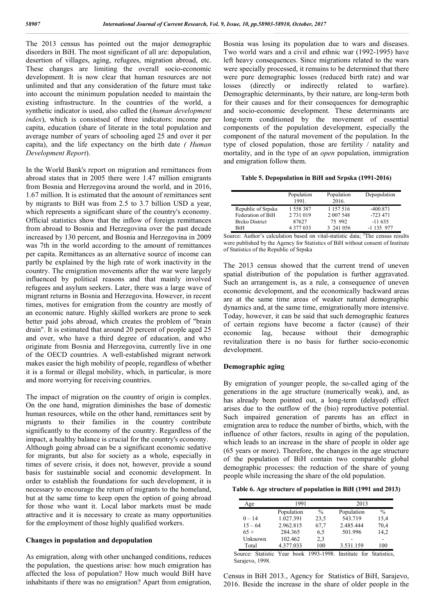The 2013 census has pointed out the major demographic disorders in BiH. The most significant of all are: depopulation, desertion of villages, aging, refugees, migration abroad, etc. These changes are limiting the overall socio-economic development. It is now clear that human resources are not unlimited and that any consideration of the future must take into account the minimum population needed to maintain the existing infrastructure. In the countries of the world, a synthetic indicator is used, also called the (*human development index*), which is consistsed of three indicators: income per capita, education (share of literate in the total population and average number of years of schooling aged 25 and over it per capita), and the life expectancy on the birth date *( Human Development Report*).

In the World Bank's report on migration and remittances from abroad states that in 2005 there were 1.47 million emigrants from Bosnia and Herzegovina around the world, and in 2016, 1.67 million. It is estimated that the amount of remittances sent by migrants to BiH was from 2.5 to 3.7 billion USD a year, which represents a significant share of the country's economy. Official statistics show that the inflow of foreign remittances from abroad to Bosnia and Herzegovina over the past decade increased by 130 percent, and Bosnia and Herzegovina in 2009 was 7th in the world according to the amount of remittances per capita. Remittances as an alternative source of income can partly be explained by the high rate of work inactivity in the country. The emigration movements after the war were largely influenced by political reasons and that mainly involved refugees and asylum seekers. Later, there was a large wave of migrant returns in Bosnia and Herzegovina. However, in recent times, motives for emigration from the country are mostly of an economic nature. Highly skilled workers are prone to seek better paid jobs abroad, which creates the problem of "brain drain". It is estimated that around 20 percent of people aged 25 and over, who have a third degree of education, and who originate from Bosnia and Herzegovina, currently live in one of the OECD countries. A well-established migrant network makes easier the high mobility of people, regardless of whether it is a formal or illegal mobility, which, in particular, is more and more worrying for receiving countries.

The impact of migration on the country of origin is complex. On the one hand, migration diminishes the base of domestic human resources, while on the other hand, remittances sent by migrants to their families in the country contribute significantly to the economy of the country. Regardless of the impact, a healthy balance is crucial for the country's economy. Although going abroad can be a significant economic sedative for migrants, but also for society as a whole, especially in times of severe crisis, it does not, however, provide a sound basis for sustainable social and economic development. In order to establish the foundations for such development, it is necessary to encourage the return of migrants to the homeland, but at the same time to keep open the option of going abroad for those who want it. Local labor markets must be made attractive and it is necessary to create as many opportunities for the employment of those highly qualified workers.

#### **Changes in population and depopulation**

As emigration, along with other unchanged conditions, reduces the population, the questions arise: how much emigration has affected the loss of population? How much would BiH have inhabitants if there was no emigration? Apart from emigration,

Bosnia was losing its population due to wars and diseases. Two world wars and a civil and ethnic war (1992-1995) have left heavy consequences. Since migrations related to the wars were specially processed, it remains to be determined that there were pure demographic losses (reduced birth rate) and war losses (directly or indirectly related to warfare). Demographic determinants, by their nature, are long-term both for their causes and for their consequences for demographic and socio-economic development. These determinants are long-term conditioned by the movement of essential components of the population development, especially the component of the natural movement of the population. In the type of closed population, those are fertility / natality and mortality, and in the type of an *open* population, immigration and emigration follow them.

**Тable 5. Depopulation in BiH and Srpska (1991-2016)**

|                       | Population<br>1991. | Population<br>2016. | Depopulation |
|-----------------------|---------------------|---------------------|--------------|
| Republic of Srpska    | 1 558 387           | 1 157 516           | $-400.871$   |
| Federation of BiH     | 2 731 019           | 2 007 548           | $-723471$    |
| <b>Brcko District</b> | 87627               | 75 992              | $-11635$     |
| <b>BiH</b>            | 4 377 033           | 3 241 056           | $-1135977$   |

Source: Author's calculation based on vital-statistic data; <sup>2</sup>The census results were published by the Agency for Statistics of BiH without consent of Institute of Statistics of the Republic of Srpska

The 2013 census showed that the current trend of uneven spatial distribution of the population is further aggravated. Such an arrangement is, as a rule, a consequence of uneven economic development, and the economically backward areas are at the same time areas of weaker natural demographic dynamics and, at the same time, emigrationally more intensive. Today, however, it can be said that such demographic features of certain regions have become a factor (cause) of their economic lag, because without their demographic revitalization there is no basis for further socio-economic development.

#### **Demographic aging**

By emigration of younger people, the so-called aging of the generations in the age structure (numerically weak), and, as has already been pointed out, a long-term (delayed) effect arises due to the outflow of the (bio) reproductive potential. Such impaired generation of parents has an effect in emigration area to reduce the number of births, which, with the influence of other factors, results in aging of the population, which leads to an increase in the share of people in older age (65 years or more). Therefore, the changes in the age structure of the population of BiH contain two comparable global demographic processes: the reduction of the share of young people while increasing the share of the old population.

**Table 6. Age structure of population in BiH (1991 and 2013)**

| Age       | 1991       |               | 2013       |               |
|-----------|------------|---------------|------------|---------------|
|           | Population | $\frac{0}{0}$ | Population | $\frac{0}{0}$ |
| $0 - 14$  | 1.027.391  | 23,5          | 543.719    | 15,4          |
| $15 - 64$ | 2.962.815  | 67,7          | 2.485.444  | 70,4          |
| $65+$     | 284.365    | 6,5           | 501.996    | 14,2          |
| Unknown   | 102.462    | 2,3           |            |               |
| Total     | 4.377.033  | 100           | 3.531.159  | 100           |

Source: Statistic Year book 1993-1998. Institute for Statistics, Sarajevo, 1998.

Census in BiH 2013., Agency for Statistics of BiH, Sarajevo, 2016. Beside the increase in the share of older people in the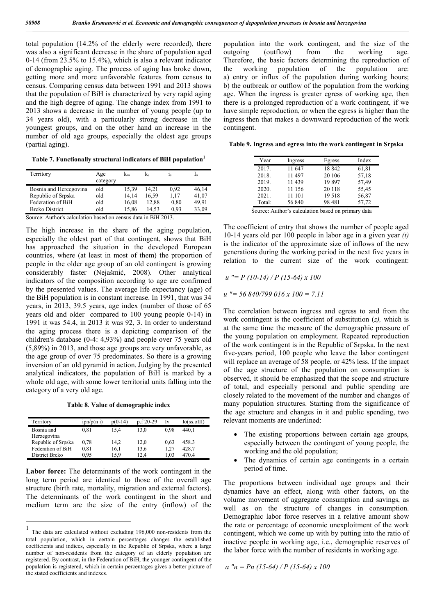total population (14.2% of the elderly were recorded), there was also a significant decrease in the share of population aged 0-14 (from 23.5% to 15.4%), which is also a relevant indicator of demographic aging. The process of aging has broke down, getting more and more unfavorable features from census to census. Comparing census data between 1991 and 2013 shows that the population of BiH is characterized by very rapid aging and the high degree of aging. The change index from 1991 to 2013 shows a decrease in the number of young people (up to 34 years old), with a particularly strong decrease in the youngest groups, and on the other hand an increase in the number of old age groups, especially the oldest age groups (partial aging).

**Table 7. Functionally structural indicators of BiH population<sup>1</sup>**

| Territory              | Age<br>category | $K_m$ | k.    | $1_{S}$ |       |
|------------------------|-----------------|-------|-------|---------|-------|
| Bosnia and Hercegovina | old             | 15.39 | 14.21 | 0.92    | 46,14 |
| Republic of Srpska     | old             | 14.14 | 16.59 | 1.17    | 41.07 |
| Federation of BiH      | old             | 16,08 | 12.88 | 0.80    | 49.91 |
| <b>Brcko District</b>  | old             | 15.86 | 14.53 | 0.93    | 33,09 |

Source: Author's calculation based on census data in BiH 2013.

The high increase in the share of the aging population, especially the oldest part of that contingent, shows that BiH has approached the situation in the developed European countries, where (at least in most of them) the proportion of people in the older age group of an old contingent is growing considerably faster (Nejašmić, 2008). Other analytical indicators of the composition according to age are confirmed by the presented values. The average life expectancy (age) of the BiH population is in constant increase. In 1991, that was 34 years, in 2013, 39.5 years, age index (number of those of 65 years old and older compared to 100 young people 0-14) in 1991 it was 54.4, in 2013 it was 92, 3. In order to understand the aging process there is a depicting comparison of the children's database (0-4: 4,93%) and people over 75 years old (5,89%) in 2013, and those age groups are very unfavorable, as the age group of over 75 predominates. So there is a growing inversion of an old pyramid in action. Judging by the presented analytical indicators, the population of BiH is marked by a whole old age, with some lower territorial units falling into the category of a very old age.

**Table 8***.* **Value of demographic index**

| Territory          | ipn/p(n i) | $p(0-14)$ | $p.f.20-29$ | Iv   | I <sub>0</sub> (ss.0III) |
|--------------------|------------|-----------|-------------|------|--------------------------|
| Bosnia and         | 0,81       | 15.4      | 13.0        | 0.98 | 440.1                    |
| Herzegovina        |            |           |             |      |                          |
| Republic of Srpska | 0,78       | 14,2      | 12.0        | 0.63 | 458.3                    |
| Federation of BiH  | 0,81       | 16,1      | 13,6        | 1.27 | 428,7                    |
| District Breko     | 0.95       | 15.9      | 12.4        | 1.03 | 470.4                    |

**Labor force:** The determinants of the work contingent in the long term period are identical to those of the overall age structure (birth rate, mortality, migration and external factors). The determinants of the work contingent in the short and medium term are the size of the entry (inflow) of the

population into the work contingent, and the size of the outgoing (outflow) from the working age. Therefore, the basic factors determining the reproduction of the working population of the population are: a) entry or influx of the population during working hours; b) the outbreak or outflow of the population from the working age. When the ingress is greater egress of working age, then there is a prolonged reproduction of a work contingent, if we have simple reproduction, or when the egress is higher than the ingress then that makes a downward reproduction of the work contingent.

**Table 9. Ingress and egress into the work contingent in Srpska**

| Year   | Ingress | Egress                                             | Index |
|--------|---------|----------------------------------------------------|-------|
| 2017.  | 11 647  | 18842                                              | 61,81 |
| 2018.  | 11497   | 20 10 6                                            | 57,18 |
| 2019.  | 11439   | 19897                                              | 57,49 |
| 2020.  | 11 156  | 20 118                                             | 55,45 |
| 2021.  | 11 101  | 19518                                              | 56,87 |
| Total: | 56 840  | 98 481                                             | 57,72 |
|        |         | Source: Author's coloulation besed on primery data |       |

Source: Author's calculation based on primary data

The coefficient of entry that shows the number of people aged 10-14 years old per 100 people in labor age in a given year *(t)* is the indicator of the approximate size of inflows of the new generations during the working period in the next five years in relation to the current size of the work contingent:

*u "= P (10-14) / P (15-64) x 100*

*u "= 56 840/799 016 x 100 = 7.11*

The correlation between ingress and egress to and from the work contingent is the coefficient of substitution (*z),* which is at the same time the measure of the demographic pressure of the young population on employment. Repeated reproduction of the work contingent is in the Republic of Srpska. In the next five-years period, 100 people who leave the labor contingent will replace an average of 58 people, or 42% less. If the impact of the age structure of the population on consumption is observed, it should be emphasized that the scope and structure of total, and especially personal and public spending are closely related to the movement of the number and changes of many population structures. Starting from the significance of the age structure and changes in it and public spending, two relevant moments are underlined:

- The existing proportions between certain age groups, especially between the contingent of young people, the working and the old population;
- The dynamics of certain age contingents in a certain period of time.

The proportions between individual age groups and their dynamics have an effect, along with other factors, on the volume movement of aggregate consumption and savings, as well as on the structure of changes in consumption. Demographic labor force reserves in a relative amount show the rate or percentage of economic unexploitment of the work contingent, which we come up with by putting into the ratio of inactive people in working age, i.e., demographic reserves of the labor force with the number of residents in working age.

*a "n = Pn (15-64) / P (15-64) x 100*

 <sup>1</sup> The data are calculated without excluding 196,000 non-residents from the total population, which in certain percentages changes the established coefficients and indices, especially in the Republic of Srpska, where a large number of non-residents from the category of an elderly population are registered. By contrast, in the Federation of BiH, the younger contingent of the population is registered, which in certain percentages gives a better picture of the stated coefficients and indexes.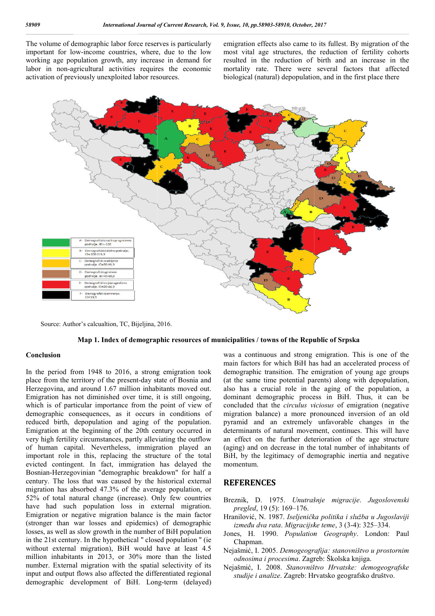The volume of demographic labor force reserves is particularly important for low-income countries, where, due to the low working age population growth, any increase in demand for labor in non-agricultural activities requires the economic activation of previously unexploited labor resources.

emigration effects also came to its fullest. By migration of the most vital age structures, the reduction of fertility cohorts resulted in the reduction of birth and an increase in the mortality rate. There were several factors that affected biological (natural) depopulation, and in the first place there effects also came to its fullest. By migration of the age structures, the reduction of fertility cohorts the reduction of birth and an increase in the rate. There were several factors that affected



Source: Author's calcualtion, TC, Bijeljina, 2016.



### **Conclusion**

In the period from 1948 to 2016, a strong emigration took place from the territory of the present-day state of Bosnia and Herzegovina, and around 1.67 million inhabitants moved out. Emigration has not diminished over time, it is still ongoing, which is of particular importance from the point of view of demographic consequences, as it occurs in conditions of reduced birth, depopulation and aging of the population. Emigration at the beginning of the 20th century occurred in very high fertility circumstances, partly alleviating the outflow of human capital. Nevertheless, immigration played an important role in this, replacing the structure of the total evicted contingent. In fact, immigration has delayed the Bosnian-Herzegovinian "demographic breakdown" for hal century. The loss that was caused by the historical external migration has absorbed 47.3% of the average population, or 52% of total natural change (increase). Only few countries have had such population loss in external migration. Emigration or negative migration balance is the main factor (stronger than war losses and epidemics) of demographic losses, as well as slow growth in the number of BiH population in the 21st century. In the hypothetical '' closed population '' (ie without external migration), BiH would have at least 4.5 million inhabitants in 2013, or 30% more than the listed number. External migration with the spatial selectivity of its input and output flows also affected the differentiated regional demographic development of BiH. Long n or negative migration balance is the main factor<br>than war losses and epidemics) of demographic<br>well as slow growth in the number of BiH population<br>t century. In the hypothetical "closed population " (ie<br>xtermal migration

was a continuous and strong emigration. This is one of the main factors for which BiH has had an accelerated process of demographic transition. The emigration of young age groups (at the same time potential parents) along with depopulation, also has a crucial role in the aging of the population, a dominant demographic process in BiH. Thus, it can be concluded that the *circulus viciosus* of emigration (negative migration balance) a more pronounced inversion of an old pyramid and an extremely unfavorable changes in the determinants of natural movement, continues. This will have an effect on the further deterioration of the age structure (aging) and on decrease in the total number of inhabitants of BiH, by the legitimacy of demographic inertia and negative momentum. an balance) a more pronounced inversion of an old<br>
and an extremely unfavorable changes in the<br>
nants of natural movement, continues. This will have<br>
and on decrease in the total number of inhabitants of<br>
the legitimacy of

#### **REFERENCES**

- Breznik, D. 1975. *Unutrašnje migracije pregled*, 19 (5): 169‒176.
- Hranilović, N. 1987. Iseljenička politika i služba u Jugoslaviji *između dva rata*. *Migracijske teme* , 3 (3-4): 325‒334.
- Jones, H. 1990. *Population Geography* . London: Paul Chapman.
- Nejašmić, I. 2005. Demogeografija: stanovništvo u prostornim *odnosima i procesima*. Zagreb: Školska knjiga.
- Nejašmić, I. 2008. *Stanovništvo Hrvatske: demogeografske studije i analize*. Zagreb: Hrvatsko geografsko društvo.